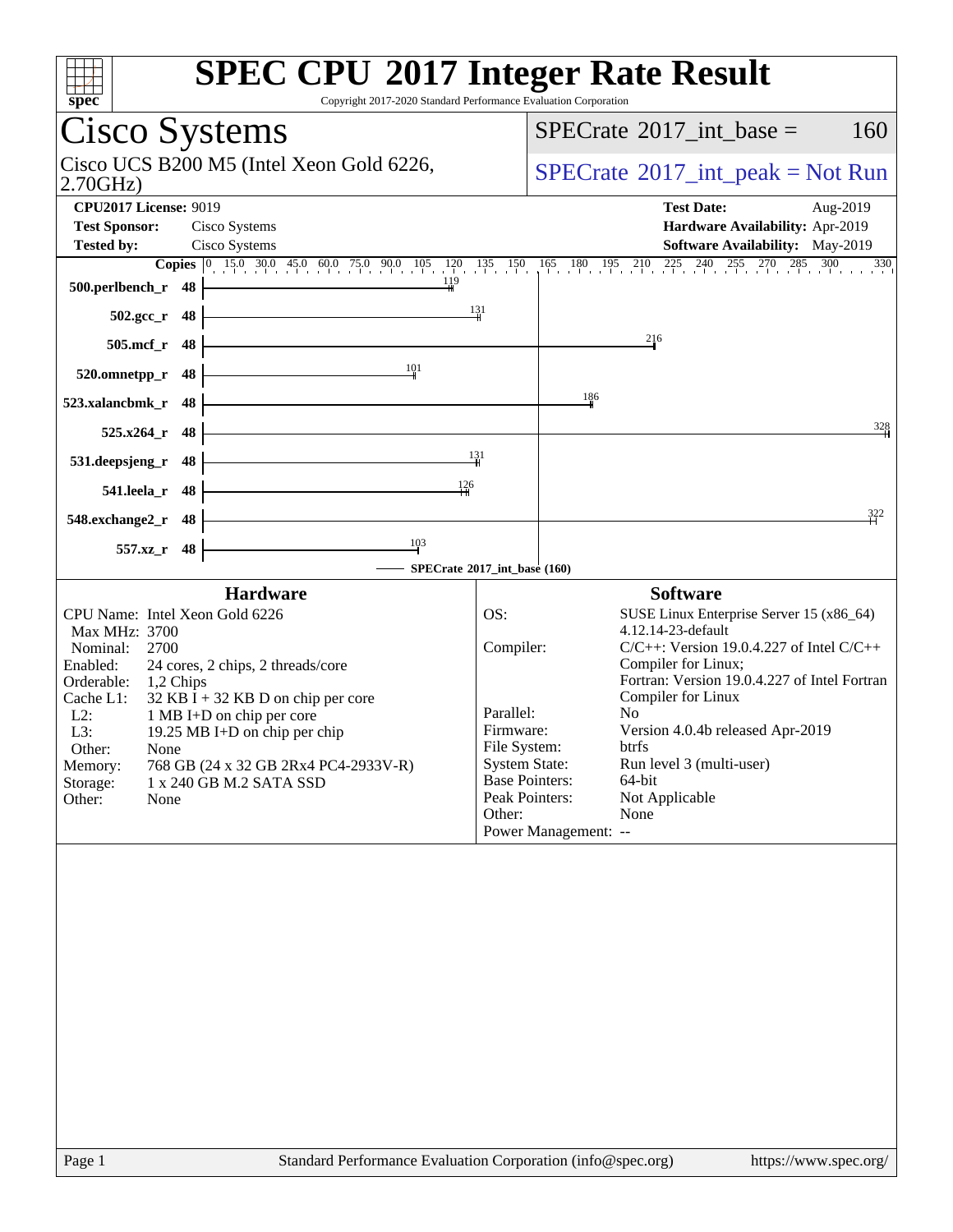| spec                                                                                                                                                                                                                                                                                                                                                                                                              | <b>SPEC CPU®2017 Integer Rate Result</b><br>Copyright 2017-2020 Standard Performance Evaluation Corporation                                                                                                                                                                                                                                                                                                                                                                                         |
|-------------------------------------------------------------------------------------------------------------------------------------------------------------------------------------------------------------------------------------------------------------------------------------------------------------------------------------------------------------------------------------------------------------------|-----------------------------------------------------------------------------------------------------------------------------------------------------------------------------------------------------------------------------------------------------------------------------------------------------------------------------------------------------------------------------------------------------------------------------------------------------------------------------------------------------|
| Cisco Systems                                                                                                                                                                                                                                                                                                                                                                                                     | $SPECrate^{\circledast}2017\_int\_base =$<br>160                                                                                                                                                                                                                                                                                                                                                                                                                                                    |
| Cisco UCS B200 M5 (Intel Xeon Gold 6226,<br>2.70GHz                                                                                                                                                                                                                                                                                                                                                               | $SPECrate^{\circledcirc}2017\_int\_peak = Not Run$                                                                                                                                                                                                                                                                                                                                                                                                                                                  |
| <b>CPU2017 License: 9019</b>                                                                                                                                                                                                                                                                                                                                                                                      | <b>Test Date:</b><br>Aug-2019                                                                                                                                                                                                                                                                                                                                                                                                                                                                       |
| <b>Test Sponsor:</b><br>Cisco Systems                                                                                                                                                                                                                                                                                                                                                                             | Hardware Availability: Apr-2019                                                                                                                                                                                                                                                                                                                                                                                                                                                                     |
| <b>Tested by:</b><br>Cisco Systems                                                                                                                                                                                                                                                                                                                                                                                | Software Availability: May-2019<br>330                                                                                                                                                                                                                                                                                                                                                                                                                                                              |
| 119<br>500.perlbench_r<br>- 48                                                                                                                                                                                                                                                                                                                                                                                    | <b>Copies</b> 0 15.0 30.0 45.0 60.0 75.0 90.0 105 120 135 150 165 180 195 210 225 240 255 270 285 300                                                                                                                                                                                                                                                                                                                                                                                               |
| $502.\text{gcc}_r$ 48                                                                                                                                                                                                                                                                                                                                                                                             | 131                                                                                                                                                                                                                                                                                                                                                                                                                                                                                                 |
| $505$ .mcf_r<br>- 48                                                                                                                                                                                                                                                                                                                                                                                              | 216                                                                                                                                                                                                                                                                                                                                                                                                                                                                                                 |
| 101<br>520.omnetpp_r<br>- 48                                                                                                                                                                                                                                                                                                                                                                                      |                                                                                                                                                                                                                                                                                                                                                                                                                                                                                                     |
| 523.xalancbmk_r<br>48                                                                                                                                                                                                                                                                                                                                                                                             | 186                                                                                                                                                                                                                                                                                                                                                                                                                                                                                                 |
| $525.x264$ r<br>- 48                                                                                                                                                                                                                                                                                                                                                                                              | 328                                                                                                                                                                                                                                                                                                                                                                                                                                                                                                 |
| 531.deepsjeng_r<br>- 48                                                                                                                                                                                                                                                                                                                                                                                           | 131                                                                                                                                                                                                                                                                                                                                                                                                                                                                                                 |
| 126<br>541.leela_r 48                                                                                                                                                                                                                                                                                                                                                                                             |                                                                                                                                                                                                                                                                                                                                                                                                                                                                                                     |
| 548.exchange2_r<br>- 48                                                                                                                                                                                                                                                                                                                                                                                           |                                                                                                                                                                                                                                                                                                                                                                                                                                                                                                     |
| 103<br>557.xz<br>- 48                                                                                                                                                                                                                                                                                                                                                                                             | SPECrate®2017_int_base (160)                                                                                                                                                                                                                                                                                                                                                                                                                                                                        |
| <b>Hardware</b>                                                                                                                                                                                                                                                                                                                                                                                                   | <b>Software</b>                                                                                                                                                                                                                                                                                                                                                                                                                                                                                     |
| CPU Name: Intel Xeon Gold 6226<br>Max MHz: 3700<br>Nominal:<br>2700<br>Enabled:<br>24 cores, 2 chips, 2 threads/core<br>Orderable:<br>1,2 Chips<br>$32$ KB I + 32 KB D on chip per core<br>Cache L1:<br>$L2$ :<br>1 MB I+D on chip per core<br>L3:<br>19.25 MB I+D on chip per chip<br>Other:<br>None<br>768 GB (24 x 32 GB 2Rx4 PC4-2933V-R)<br>Memory:<br>1 x 240 GB M.2 SATA SSD<br>Storage:<br>Other:<br>None | OS:<br>SUSE Linux Enterprise Server 15 (x86_64)<br>4.12.14-23-default<br>Compiler:<br>$C/C++$ : Version 19.0.4.227 of Intel $C/C++$<br>Compiler for Linux;<br>Fortran: Version 19.0.4.227 of Intel Fortran<br>Compiler for Linux<br>Parallel:<br>No.<br>Version 4.0.4b released Apr-2019<br>Firmware:<br>File System:<br>btrfs<br><b>System State:</b><br>Run level 3 (multi-user)<br><b>Base Pointers:</b><br>64-bit<br>Peak Pointers:<br>Not Applicable<br>Other:<br>None<br>Power Management: -- |
| Page 1                                                                                                                                                                                                                                                                                                                                                                                                            | Standard Performance Evaluation Corporation (info@spec.org)<br>https://www.spec.org/                                                                                                                                                                                                                                                                                                                                                                                                                |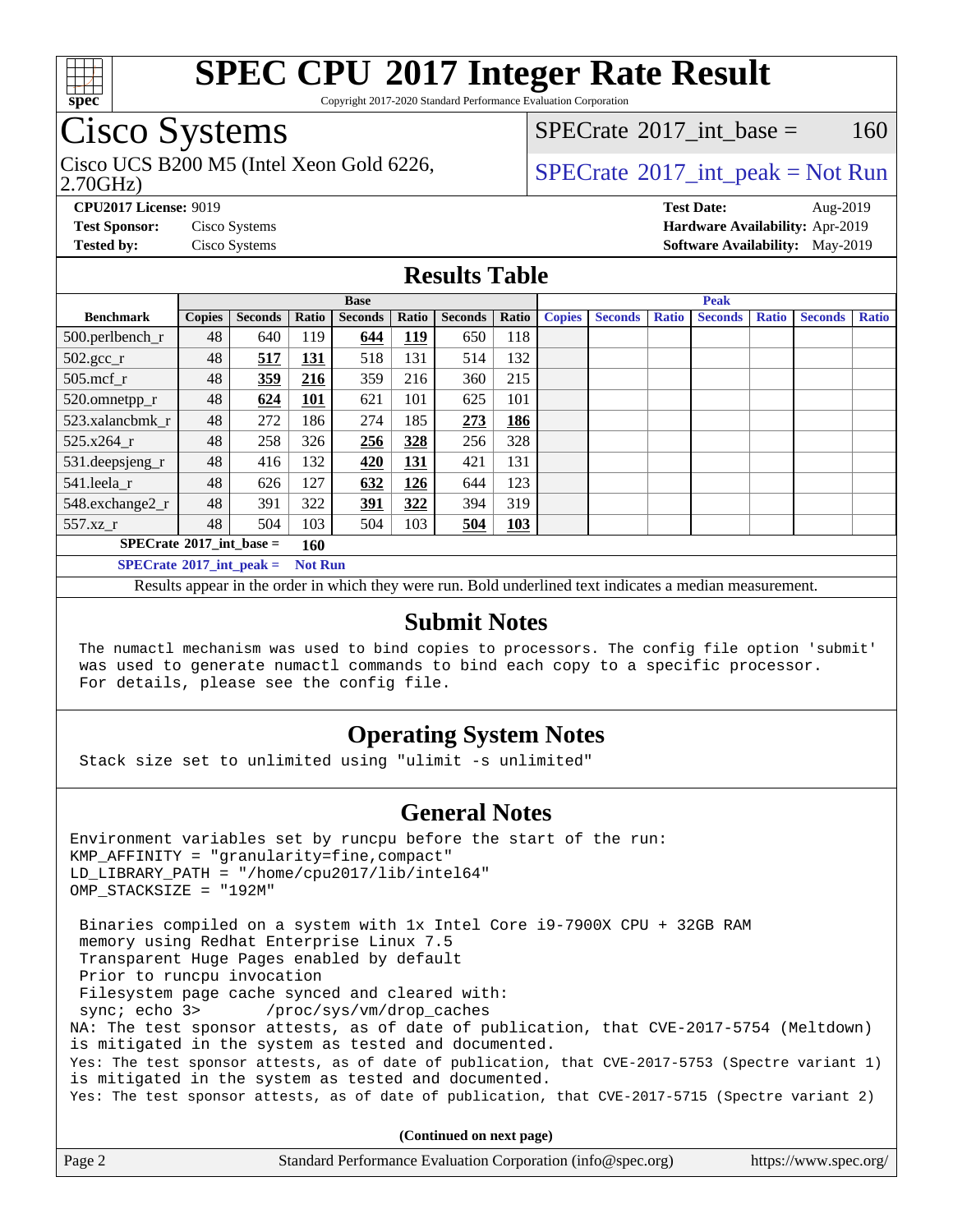

Copyright 2017-2020 Standard Performance Evaluation Corporation

## Cisco Systems

2.70GHz) Cisco UCS B200 M5 (Intel Xeon Gold 6226,  $SPECrate^{\circ}2017\_int\_peak = Not Run$  $SPECrate^{\circ}2017\_int\_peak = Not Run$ 

[SPECrate](http://www.spec.org/auto/cpu2017/Docs/result-fields.html#SPECrate2017intbase)<sup>®</sup>2017 int base = 160

**[CPU2017 License:](http://www.spec.org/auto/cpu2017/Docs/result-fields.html#CPU2017License)** 9019 **[Test Date:](http://www.spec.org/auto/cpu2017/Docs/result-fields.html#TestDate)** Aug-2019 **[Test Sponsor:](http://www.spec.org/auto/cpu2017/Docs/result-fields.html#TestSponsor)** Cisco Systems **[Hardware Availability:](http://www.spec.org/auto/cpu2017/Docs/result-fields.html#HardwareAvailability)** Apr-2019 **[Tested by:](http://www.spec.org/auto/cpu2017/Docs/result-fields.html#Testedby)** Cisco Systems **[Software Availability:](http://www.spec.org/auto/cpu2017/Docs/result-fields.html#SoftwareAvailability)** May-2019

### **[Results Table](http://www.spec.org/auto/cpu2017/Docs/result-fields.html#ResultsTable)**

|                                                     | <b>Base</b>   |                |            |                | <b>Peak</b> |                |            |               |                |              |                |              |                |              |
|-----------------------------------------------------|---------------|----------------|------------|----------------|-------------|----------------|------------|---------------|----------------|--------------|----------------|--------------|----------------|--------------|
| <b>Benchmark</b>                                    | <b>Copies</b> | <b>Seconds</b> | Ratio      | <b>Seconds</b> | Ratio       | <b>Seconds</b> | Ratio      | <b>Copies</b> | <b>Seconds</b> | <b>Ratio</b> | <b>Seconds</b> | <b>Ratio</b> | <b>Seconds</b> | <b>Ratio</b> |
| 500.perlbench_r                                     | 48            | 640            | 119        | 644            | <u>119</u>  | 650            | 118        |               |                |              |                |              |                |              |
| $502.\text{gcc\_r}$                                 | 48            | 517            | 131        | 518            | 131         | 514            | 132        |               |                |              |                |              |                |              |
| $505$ .mcf r                                        | 48            | 359            | 216        | 359            | 216         | 360            | 215        |               |                |              |                |              |                |              |
| 520.omnetpp_r                                       | 48            | 624            | <b>101</b> | 621            | 101         | 625            | 101        |               |                |              |                |              |                |              |
| 523.xalancbmk_r                                     | 48            | 272            | 186        | 274            | 185         | 273            | 186        |               |                |              |                |              |                |              |
| 525.x264 r                                          | 48            | 258            | 326        | 256            | 328         | 256            | 328        |               |                |              |                |              |                |              |
| 531.deepsjeng_r                                     | 48            | 416            | 132        | 420            | <u>131</u>  | 421            | 131        |               |                |              |                |              |                |              |
| 541.leela r                                         | 48            | 626            | 127        | 632            | 126         | 644            | 123        |               |                |              |                |              |                |              |
| 548.exchange2_r                                     | 48            | 391            | 322        | 391            | 322         | 394            | 319        |               |                |              |                |              |                |              |
| 557.xz r                                            | 48            | 504            | 103        | 504            | 103         | 504            | <b>103</b> |               |                |              |                |              |                |              |
| $SPECrate^{\circ}2017$ int base =<br>160            |               |                |            |                |             |                |            |               |                |              |                |              |                |              |
| $SPECrate^{\circ}2017$ int peak =<br><b>Not Run</b> |               |                |            |                |             |                |            |               |                |              |                |              |                |              |

Results appear in the [order in which they were run](http://www.spec.org/auto/cpu2017/Docs/result-fields.html#RunOrder). Bold underlined text [indicates a median measurement](http://www.spec.org/auto/cpu2017/Docs/result-fields.html#Median).

#### **[Submit Notes](http://www.spec.org/auto/cpu2017/Docs/result-fields.html#SubmitNotes)**

 The numactl mechanism was used to bind copies to processors. The config file option 'submit' was used to generate numactl commands to bind each copy to a specific processor. For details, please see the config file.

### **[Operating System Notes](http://www.spec.org/auto/cpu2017/Docs/result-fields.html#OperatingSystemNotes)**

Stack size set to unlimited using "ulimit -s unlimited"

#### **[General Notes](http://www.spec.org/auto/cpu2017/Docs/result-fields.html#GeneralNotes)**

Environment variables set by runcpu before the start of the run: KMP\_AFFINITY = "granularity=fine,compact" LD\_LIBRARY\_PATH = "/home/cpu2017/lib/intel64" OMP\_STACKSIZE = "192M" Binaries compiled on a system with 1x Intel Core i9-7900X CPU + 32GB RAM memory using Redhat Enterprise Linux 7.5 Transparent Huge Pages enabled by default Prior to runcpu invocation Filesystem page cache synced and cleared with: sync; echo 3> /proc/sys/vm/drop\_caches NA: The test sponsor attests, as of date of publication, that CVE-2017-5754 (Meltdown) is mitigated in the system as tested and documented. Yes: The test sponsor attests, as of date of publication, that CVE-2017-5753 (Spectre variant 1) is mitigated in the system as tested and documented. Yes: The test sponsor attests, as of date of publication, that CVE-2017-5715 (Spectre variant 2) **(Continued on next page)**

| Page 2 | Standard Performance Evaluation Corporation (info@spec.org) | https://www.spec.org/ |
|--------|-------------------------------------------------------------|-----------------------|
|--------|-------------------------------------------------------------|-----------------------|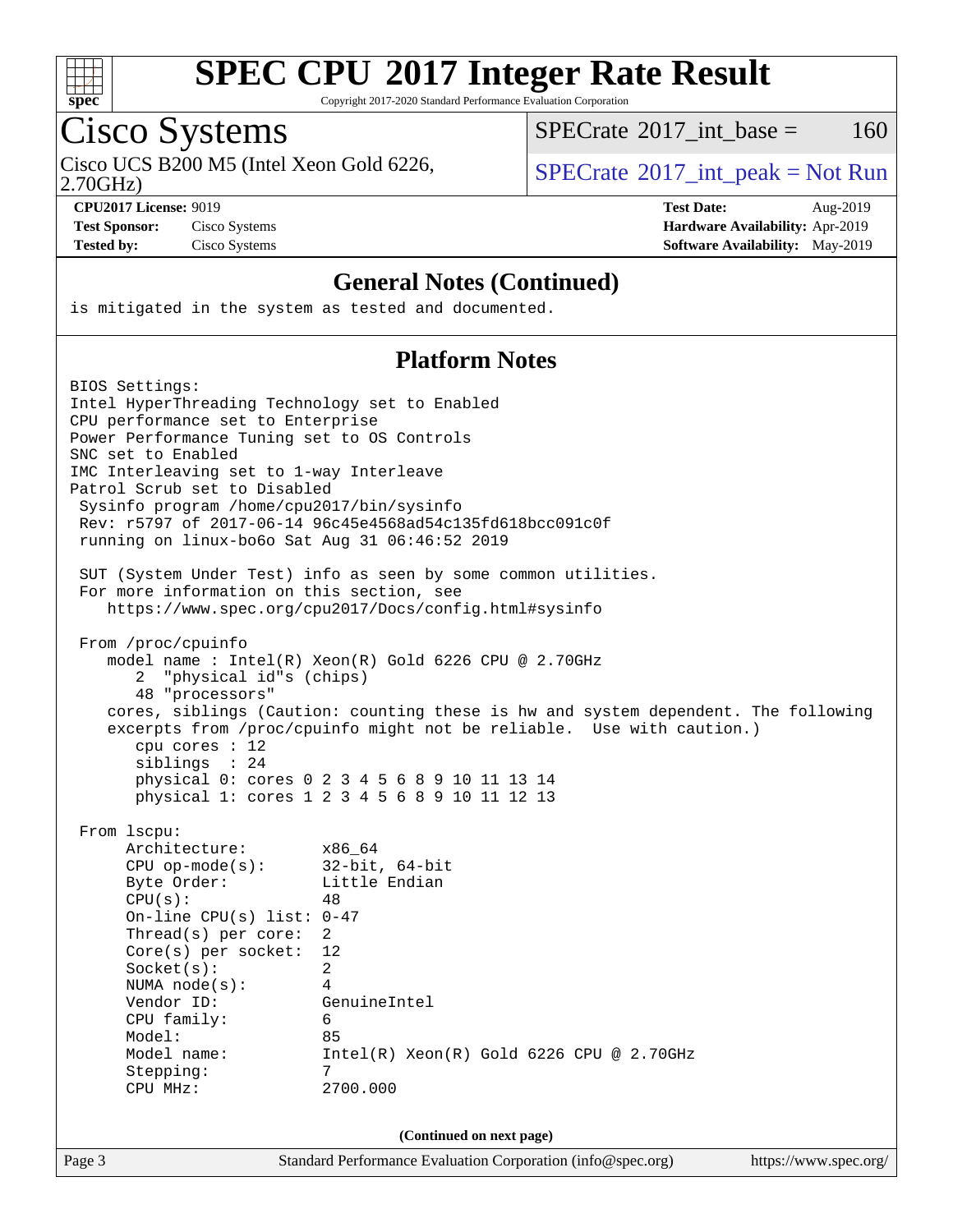

Copyright 2017-2020 Standard Performance Evaluation Corporation

Cisco Systems<br>Cisco UCS B200 M5 (Intel Xeon Gold 6226,

 $SPECTate$ <sup>®</sup>[2017\\_int\\_base =](http://www.spec.org/auto/cpu2017/Docs/result-fields.html#SPECrate2017intbase) 160

2.70GHz)

 $SPECTate$ <sup>®</sup>[2017\\_int\\_peak = N](http://www.spec.org/auto/cpu2017/Docs/result-fields.html#SPECrate2017intpeak)ot Run

**[CPU2017 License:](http://www.spec.org/auto/cpu2017/Docs/result-fields.html#CPU2017License)** 9019 **[Test Date:](http://www.spec.org/auto/cpu2017/Docs/result-fields.html#TestDate)** Aug-2019 **[Test Sponsor:](http://www.spec.org/auto/cpu2017/Docs/result-fields.html#TestSponsor)** Cisco Systems **[Hardware Availability:](http://www.spec.org/auto/cpu2017/Docs/result-fields.html#HardwareAvailability)** Apr-2019 **[Tested by:](http://www.spec.org/auto/cpu2017/Docs/result-fields.html#Testedby)** Cisco Systems **[Software Availability:](http://www.spec.org/auto/cpu2017/Docs/result-fields.html#SoftwareAvailability)** May-2019

#### **[General Notes \(Continued\)](http://www.spec.org/auto/cpu2017/Docs/result-fields.html#GeneralNotes)**

is mitigated in the system as tested and documented.

### **[Platform Notes](http://www.spec.org/auto/cpu2017/Docs/result-fields.html#PlatformNotes)**

| BIOS Settings:                                                    |                                                                                    |                       |
|-------------------------------------------------------------------|------------------------------------------------------------------------------------|-----------------------|
| Intel HyperThreading Technology set to Enabled                    |                                                                                    |                       |
| CPU performance set to Enterprise                                 |                                                                                    |                       |
| Power Performance Tuning set to OS Controls<br>SNC set to Enabled |                                                                                    |                       |
| IMC Interleaving set to 1-way Interleave                          |                                                                                    |                       |
| Patrol Scrub set to Disabled                                      |                                                                                    |                       |
| Sysinfo program /home/cpu2017/bin/sysinfo                         |                                                                                    |                       |
|                                                                   | Rev: r5797 of 2017-06-14 96c45e4568ad54c135fd618bcc091c0f                          |                       |
| running on linux-bo6o Sat Aug 31 06:46:52 2019                    |                                                                                    |                       |
|                                                                   |                                                                                    |                       |
|                                                                   | SUT (System Under Test) info as seen by some common utilities.                     |                       |
| For more information on this section, see                         |                                                                                    |                       |
|                                                                   | https://www.spec.org/cpu2017/Docs/config.html#sysinfo                              |                       |
| From /proc/cpuinfo                                                |                                                                                    |                       |
|                                                                   | model name: $Intel(R)$ Xeon $(R)$ Gold 6226 CPU @ 2.70GHz                          |                       |
| "physical id"s (chips)<br>2                                       |                                                                                    |                       |
| 48 "processors"                                                   |                                                                                    |                       |
|                                                                   | cores, siblings (Caution: counting these is hw and system dependent. The following |                       |
|                                                                   | excerpts from /proc/cpuinfo might not be reliable. Use with caution.)              |                       |
| cpu cores : 12                                                    |                                                                                    |                       |
| siblings : 24                                                     |                                                                                    |                       |
|                                                                   | physical 0: cores 0 2 3 4 5 6 8 9 10 11 13 14                                      |                       |
|                                                                   | physical 1: cores 1 2 3 4 5 6 8 9 10 11 12 13                                      |                       |
| From 1scpu:                                                       |                                                                                    |                       |
| Architecture:                                                     | x86 64                                                                             |                       |
| $CPU$ op-mode( $s$ ):                                             | $32$ -bit, $64$ -bit                                                               |                       |
| Byte Order:                                                       | Little Endian                                                                      |                       |
| CPU(s):                                                           | 48                                                                                 |                       |
| On-line CPU(s) list: $0-47$                                       |                                                                                    |                       |
| Thread(s) per core:                                               | $\overline{2}$                                                                     |                       |
| $Core(s)$ per socket:                                             | 12                                                                                 |                       |
| Socket(s):                                                        | $\overline{2}$                                                                     |                       |
| NUMA $node(s):$                                                   | 4                                                                                  |                       |
| Vendor ID:                                                        | GenuineIntel                                                                       |                       |
| CPU family:                                                       | 6                                                                                  |                       |
| Model:                                                            | 85                                                                                 |                       |
| Model name:                                                       | $Intel(R) Xeon(R) Gold 6226 CPU @ 2.70GHz$                                         |                       |
| Stepping:                                                         | 7                                                                                  |                       |
| CPU MHz:                                                          | 2700.000                                                                           |                       |
|                                                                   |                                                                                    |                       |
|                                                                   | (Continued on next page)                                                           |                       |
| Page 3                                                            | Standard Performance Evaluation Corporation (info@spec.org)                        | https://www.spec.org/ |
|                                                                   |                                                                                    |                       |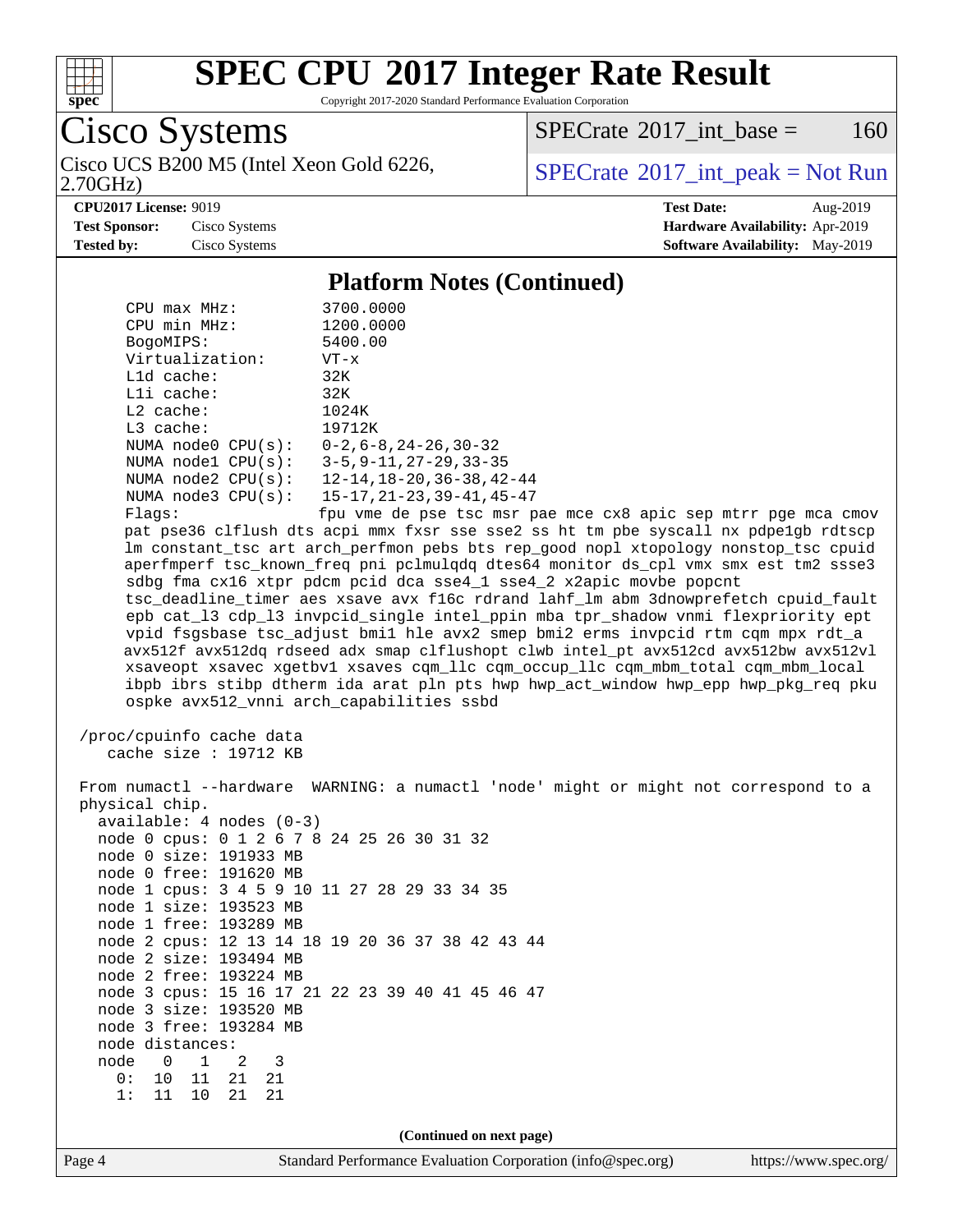

Copyright 2017-2020 Standard Performance Evaluation Corporation

Cisco Systems

2.70GHz) Cisco UCS B200 M5 (Intel Xeon Gold 6226,  $SPECTR = SPECrate^{\circ}2017\_int\_peak = Not Run$  $SPECTR = SPECrate^{\circ}2017\_int\_peak = Not Run$  $SPECTR = SPECrate^{\circ}2017\_int\_peak = Not Run$ 

[SPECrate](http://www.spec.org/auto/cpu2017/Docs/result-fields.html#SPECrate2017intbase)<sup>®</sup>2017 int base = 160

**[CPU2017 License:](http://www.spec.org/auto/cpu2017/Docs/result-fields.html#CPU2017License)** 9019 **[Test Date:](http://www.spec.org/auto/cpu2017/Docs/result-fields.html#TestDate)** Aug-2019 **[Test Sponsor:](http://www.spec.org/auto/cpu2017/Docs/result-fields.html#TestSponsor)** Cisco Systems **[Hardware Availability:](http://www.spec.org/auto/cpu2017/Docs/result-fields.html#HardwareAvailability)** Apr-2019 **[Tested by:](http://www.spec.org/auto/cpu2017/Docs/result-fields.html#Testedby)** Cisco Systems **[Software Availability:](http://www.spec.org/auto/cpu2017/Docs/result-fields.html#SoftwareAvailability)** May-2019

#### **[Platform Notes \(Continued\)](http://www.spec.org/auto/cpu2017/Docs/result-fields.html#PlatformNotes)**

| $CPU$ $max$ $MHz$ :      | 3700.0000                                     |
|--------------------------|-----------------------------------------------|
| CPU min MHz:             | 1200.0000                                     |
| BogoMIPS:                | 5400.00                                       |
| Virtualization:          | $VT - x$                                      |
| $L1d$ cache:             | 32K                                           |
| $L1i$ cache:             | 32K                                           |
| $L2$ cache:              | 1024K                                         |
| $L3$ cache:              | 19712K                                        |
| NUMA $node0$ $CPU(s):$   | $0 - 2$ , 6 – 8, 24 – 26, 30 – 32             |
| NUMA $node1$ CPU( $s$ ): | $3 - 5, 9 - 11, 27 - 29, 33 - 35$             |
| NUMA $node2$ $CPU(s)$ :  | $12 - 14$ , $18 - 20$ , $36 - 38$ , $42 - 44$ |
| NUMA $node3$ $CPU(s)$ :  | $15 - 17, 21 - 23, 39 - 41, 45 - 47$          |
|                          |                                               |

Flags: fpu vme de pse tsc msr pae mce cx8 apic sep mtrr pge mca cmov pat pse36 clflush dts acpi mmx fxsr sse sse2 ss ht tm pbe syscall nx pdpe1gb rdtscp lm constant\_tsc art arch\_perfmon pebs bts rep\_good nopl xtopology nonstop\_tsc cpuid aperfmperf tsc\_known\_freq pni pclmulqdq dtes64 monitor ds\_cpl vmx smx est tm2 ssse3 sdbg fma cx16 xtpr pdcm pcid dca sse4\_1 sse4\_2 x2apic movbe popcnt tsc\_deadline\_timer aes xsave avx f16c rdrand lahf\_lm abm 3dnowprefetch cpuid\_fault epb cat\_l3 cdp\_l3 invpcid\_single intel\_ppin mba tpr\_shadow vnmi flexpriority ept vpid fsgsbase tsc\_adjust bmi1 hle avx2 smep bmi2 erms invpcid rtm cqm mpx rdt\_a avx512f avx512dq rdseed adx smap clflushopt clwb intel\_pt avx512cd avx512bw avx512vl xsaveopt xsavec xgetbv1 xsaves cqm\_llc cqm\_occup\_llc cqm\_mbm\_total cqm\_mbm\_local ibpb ibrs stibp dtherm ida arat pln pts hwp hwp\_act\_window hwp\_epp hwp\_pkg\_req pku ospke avx512\_vnni arch\_capabilities ssbd

 /proc/cpuinfo cache data cache size : 19712 KB

 From numactl --hardware WARNING: a numactl 'node' might or might not correspond to a physical chip. available: 4 nodes (0-3) node 0 cpus: 0 1 2 6 7 8 24 25 26 30 31 32 node 0 size: 191933 MB node 0 free: 191620 MB node 1 cpus: 3 4 5 9 10 11 27 28 29 33 34 35 node 1 size: 193523 MB node 1 free: 193289 MB node 2 cpus: 12 13 14 18 19 20 36 37 38 42 43 44 node 2 size: 193494 MB node 2 free: 193224 MB node 3 cpus: 15 16 17 21 22 23 39 40 41 45 46 47 node 3 size: 193520 MB node 3 free: 193284 MB node distances: node 0 1 2 3 0: 10 11 21 21 1: 11 10 21 21 **(Continued on next page)**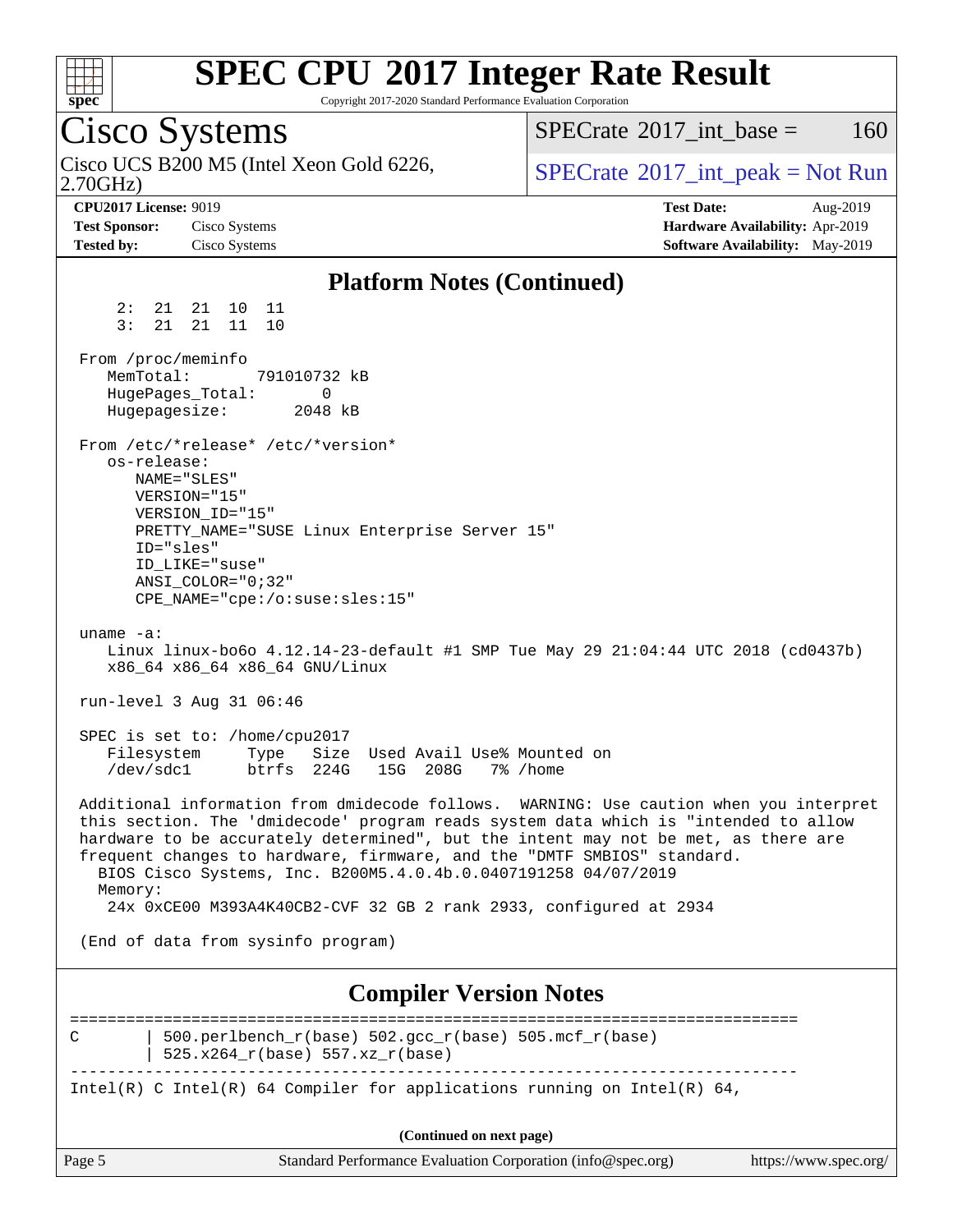

Copyright 2017-2020 Standard Performance Evaluation Corporation

Cisco Systems 2.70GHz) Cisco UCS B200 M5 (Intel Xeon Gold 6226,  $SPECrate^{\circ}2017\_int\_peak = Not Run$  $SPECrate^{\circ}2017\_int\_peak = Not Run$  $SPECTate^{\circ}2017$  int base = 160 **[CPU2017 License:](http://www.spec.org/auto/cpu2017/Docs/result-fields.html#CPU2017License)** 9019 **[Test Date:](http://www.spec.org/auto/cpu2017/Docs/result-fields.html#TestDate)** Aug-2019 **[Test Sponsor:](http://www.spec.org/auto/cpu2017/Docs/result-fields.html#TestSponsor)** Cisco Systems **[Hardware Availability:](http://www.spec.org/auto/cpu2017/Docs/result-fields.html#HardwareAvailability)** Apr-2019 **[Tested by:](http://www.spec.org/auto/cpu2017/Docs/result-fields.html#Testedby)** Cisco Systems **[Software Availability:](http://www.spec.org/auto/cpu2017/Docs/result-fields.html#SoftwareAvailability)** May-2019 **[Platform Notes \(Continued\)](http://www.spec.org/auto/cpu2017/Docs/result-fields.html#PlatformNotes)** 2: 21 21 10 11 3: 21 21 11 10 From /proc/meminfo<br>MemTotal: 791010732 kB MemTotal: HugePages\_Total: 0 Hugepagesize: 2048 kB From /etc/\*release\* /etc/\*version\* os-release: NAME="SLES" VERSION="15" VERSION\_ID="15" PRETTY\_NAME="SUSE Linux Enterprise Server 15" ID="sles" ID\_LIKE="suse" ANSI\_COLOR="0;32" CPE\_NAME="cpe:/o:suse:sles:15" uname -a: Linux linux-bo6o 4.12.14-23-default #1 SMP Tue May 29 21:04:44 UTC 2018 (cd0437b) x86\_64 x86\_64 x86\_64 GNU/Linux run-level 3 Aug 31 06:46 SPEC is set to: /home/cpu2017 Filesystem Type Size Used Avail Use% Mounted on /dev/sdc1 btrfs 224G 15G 208G 7% /home Additional information from dmidecode follows. WARNING: Use caution when you interpret this section. The 'dmidecode' program reads system data which is "intended to allow hardware to be accurately determined", but the intent may not be met, as there are frequent changes to hardware, firmware, and the "DMTF SMBIOS" standard. BIOS Cisco Systems, Inc. B200M5.4.0.4b.0.0407191258 04/07/2019 Memory: 24x 0xCE00 M393A4K40CB2-CVF 32 GB 2 rank 2933, configured at 2934 (End of data from sysinfo program) **[Compiler Version Notes](http://www.spec.org/auto/cpu2017/Docs/result-fields.html#CompilerVersionNotes)** ============================================================================== C | 500.perlbench r(base) 502.gcc r(base) 505.mcf r(base)

| 525.x264\_r(base) 557.xz\_r(base)

------------------------------------------------------------------------------

Intel(R) C Intel(R) 64 Compiler for applications running on Intel(R)  $64$ ,

**(Continued on next page)**

| Page.<br>Standard Performance Evaluation Corporation (info@spec.org)<br>https://www.spec.org/ |  |
|-----------------------------------------------------------------------------------------------|--|
|-----------------------------------------------------------------------------------------------|--|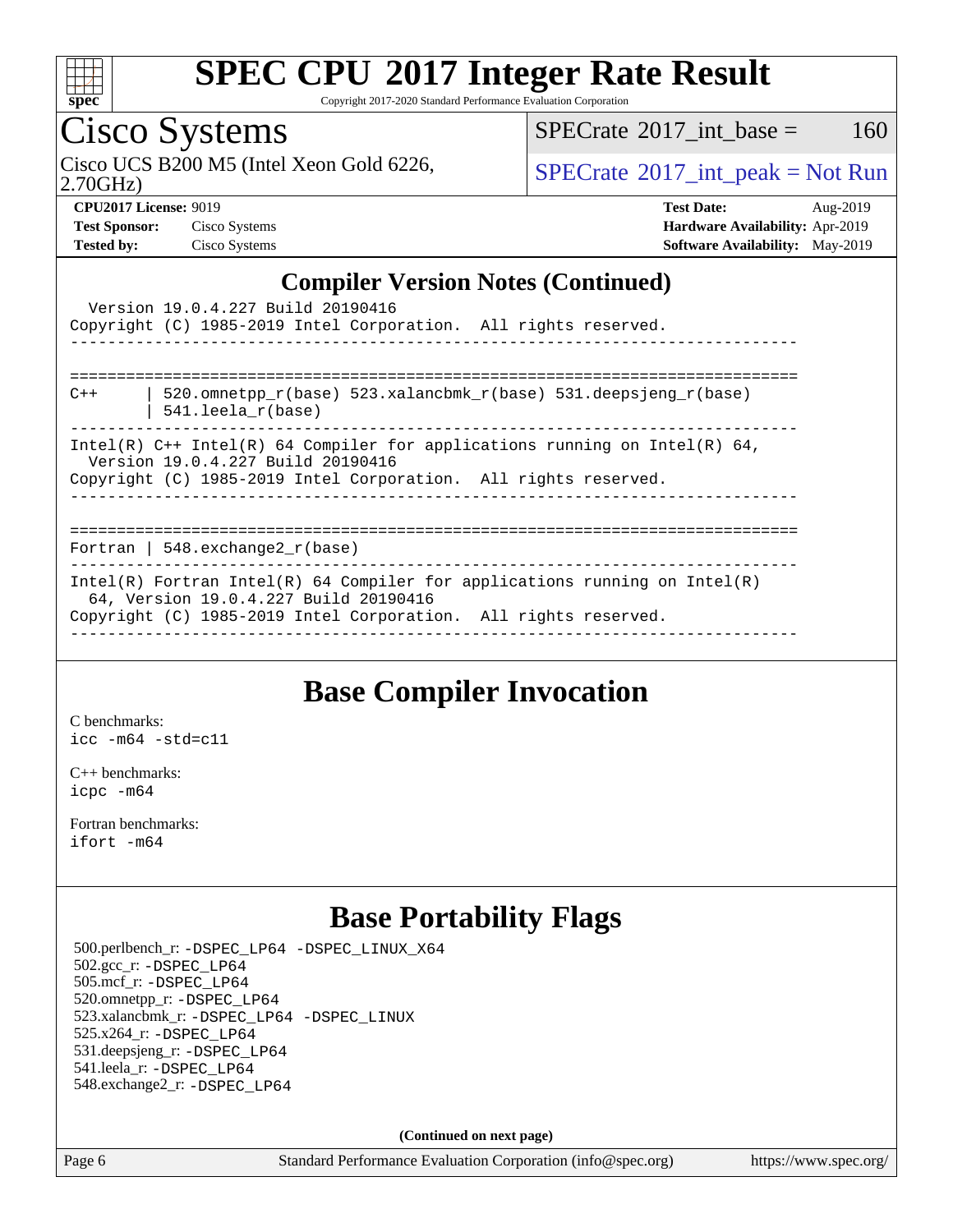

Copyright 2017-2020 Standard Performance Evaluation Corporation

## Cisco Systems

Cisco UCS B200 M5 (Intel Xeon Gold 6226,  $SPECTR = SPECrate^{\circ}2017\_int\_peak = Not Run$  $SPECTR = SPECrate^{\circ}2017\_int\_peak = Not Run$  $SPECTR = SPECrate^{\circ}2017\_int\_peak = Not Run$ 

 $SPECTate$ <sup>®</sup>[2017\\_int\\_base =](http://www.spec.org/auto/cpu2017/Docs/result-fields.html#SPECrate2017intbase) 160

2.70GHz)

**[Test Sponsor:](http://www.spec.org/auto/cpu2017/Docs/result-fields.html#TestSponsor)** Cisco Systems **[Hardware Availability:](http://www.spec.org/auto/cpu2017/Docs/result-fields.html#HardwareAvailability)** Apr-2019 **[Tested by:](http://www.spec.org/auto/cpu2017/Docs/result-fields.html#Testedby)** Cisco Systems **[Software Availability:](http://www.spec.org/auto/cpu2017/Docs/result-fields.html#SoftwareAvailability)** May-2019

**[CPU2017 License:](http://www.spec.org/auto/cpu2017/Docs/result-fields.html#CPU2017License)** 9019 **[Test Date:](http://www.spec.org/auto/cpu2017/Docs/result-fields.html#TestDate)** Aug-2019

### **[Compiler Version Notes \(Continued\)](http://www.spec.org/auto/cpu2017/Docs/result-fields.html#CompilerVersionNotes)**

### **[Base Compiler Invocation](http://www.spec.org/auto/cpu2017/Docs/result-fields.html#BaseCompilerInvocation)**

[C benchmarks](http://www.spec.org/auto/cpu2017/Docs/result-fields.html#Cbenchmarks): [icc -m64 -std=c11](http://www.spec.org/cpu2017/results/res2019q3/cpu2017-20190903-17730.flags.html#user_CCbase_intel_icc_64bit_c11_33ee0cdaae7deeeab2a9725423ba97205ce30f63b9926c2519791662299b76a0318f32ddfffdc46587804de3178b4f9328c46fa7c2b0cd779d7a61945c91cd35)

[C++ benchmarks:](http://www.spec.org/auto/cpu2017/Docs/result-fields.html#CXXbenchmarks) [icpc -m64](http://www.spec.org/cpu2017/results/res2019q3/cpu2017-20190903-17730.flags.html#user_CXXbase_intel_icpc_64bit_4ecb2543ae3f1412ef961e0650ca070fec7b7afdcd6ed48761b84423119d1bf6bdf5cad15b44d48e7256388bc77273b966e5eb805aefd121eb22e9299b2ec9d9)

[Fortran benchmarks](http://www.spec.org/auto/cpu2017/Docs/result-fields.html#Fortranbenchmarks): [ifort -m64](http://www.spec.org/cpu2017/results/res2019q3/cpu2017-20190903-17730.flags.html#user_FCbase_intel_ifort_64bit_24f2bb282fbaeffd6157abe4f878425411749daecae9a33200eee2bee2fe76f3b89351d69a8130dd5949958ce389cf37ff59a95e7a40d588e8d3a57e0c3fd751)

### **[Base Portability Flags](http://www.spec.org/auto/cpu2017/Docs/result-fields.html#BasePortabilityFlags)**

 500.perlbench\_r: [-DSPEC\\_LP64](http://www.spec.org/cpu2017/results/res2019q3/cpu2017-20190903-17730.flags.html#b500.perlbench_r_basePORTABILITY_DSPEC_LP64) [-DSPEC\\_LINUX\\_X64](http://www.spec.org/cpu2017/results/res2019q3/cpu2017-20190903-17730.flags.html#b500.perlbench_r_baseCPORTABILITY_DSPEC_LINUX_X64) 502.gcc\_r: [-DSPEC\\_LP64](http://www.spec.org/cpu2017/results/res2019q3/cpu2017-20190903-17730.flags.html#suite_basePORTABILITY502_gcc_r_DSPEC_LP64) 505.mcf\_r: [-DSPEC\\_LP64](http://www.spec.org/cpu2017/results/res2019q3/cpu2017-20190903-17730.flags.html#suite_basePORTABILITY505_mcf_r_DSPEC_LP64) 520.omnetpp\_r: [-DSPEC\\_LP64](http://www.spec.org/cpu2017/results/res2019q3/cpu2017-20190903-17730.flags.html#suite_basePORTABILITY520_omnetpp_r_DSPEC_LP64) 523.xalancbmk\_r: [-DSPEC\\_LP64](http://www.spec.org/cpu2017/results/res2019q3/cpu2017-20190903-17730.flags.html#suite_basePORTABILITY523_xalancbmk_r_DSPEC_LP64) [-DSPEC\\_LINUX](http://www.spec.org/cpu2017/results/res2019q3/cpu2017-20190903-17730.flags.html#b523.xalancbmk_r_baseCXXPORTABILITY_DSPEC_LINUX) 525.x264\_r: [-DSPEC\\_LP64](http://www.spec.org/cpu2017/results/res2019q3/cpu2017-20190903-17730.flags.html#suite_basePORTABILITY525_x264_r_DSPEC_LP64) 531.deepsjeng\_r: [-DSPEC\\_LP64](http://www.spec.org/cpu2017/results/res2019q3/cpu2017-20190903-17730.flags.html#suite_basePORTABILITY531_deepsjeng_r_DSPEC_LP64) 541.leela\_r: [-DSPEC\\_LP64](http://www.spec.org/cpu2017/results/res2019q3/cpu2017-20190903-17730.flags.html#suite_basePORTABILITY541_leela_r_DSPEC_LP64) 548.exchange2\_r: [-DSPEC\\_LP64](http://www.spec.org/cpu2017/results/res2019q3/cpu2017-20190903-17730.flags.html#suite_basePORTABILITY548_exchange2_r_DSPEC_LP64)

**(Continued on next page)**

Page 6 Standard Performance Evaluation Corporation [\(info@spec.org\)](mailto:info@spec.org) <https://www.spec.org/>